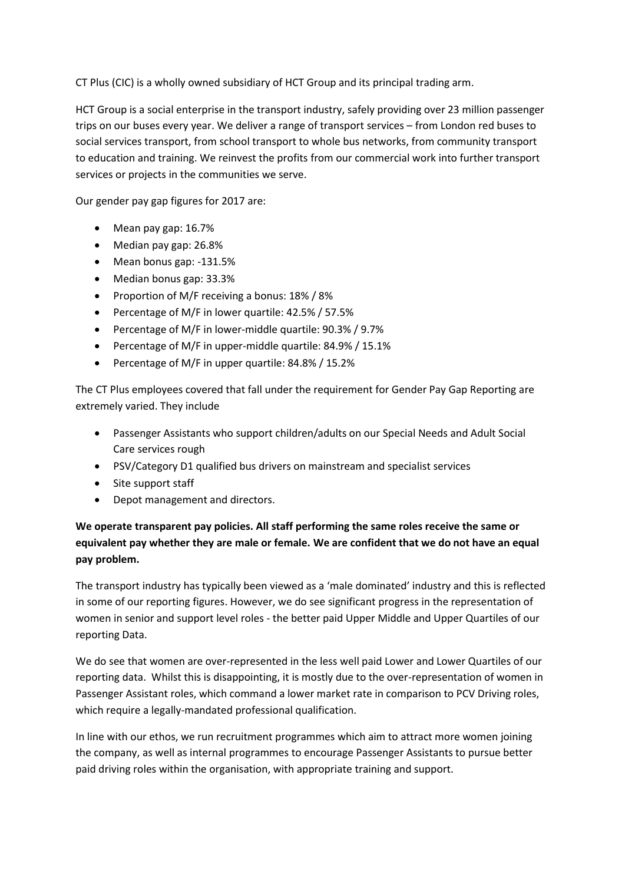CT Plus (CIC) is a wholly owned subsidiary of HCT Group and its principal trading arm.

HCT Group is a social enterprise in the transport industry, safely providing over 23 million passenger trips on our buses every year. We deliver a range of transport services – from London red buses to social services transport, from school transport to whole bus networks, from community transport to education and training. We reinvest the profits from our commercial work into further transport services or projects in the communities we serve.

Our gender pay gap figures for 2017 are:

- Mean pay gap: 16.7%
- Median pay gap: 26.8%
- Mean bonus gap: -131.5%
- Median bonus gap: 33.3%
- Proportion of M/F receiving a bonus: 18% / 8%
- Percentage of M/F in lower quartile: 42.5% / 57.5%
- Percentage of M/F in lower-middle quartile: 90.3% / 9.7%
- Percentage of M/F in upper-middle quartile: 84.9% / 15.1%
- Percentage of M/F in upper quartile: 84.8% / 15.2%

The CT Plus employees covered that fall under the requirement for Gender Pay Gap Reporting are extremely varied. They include

- Passenger Assistants who support children/adults on our Special Needs and Adult Social Care services rough
- PSV/Category D1 qualified bus drivers on mainstream and specialist services
- Site support staff
- Depot management and directors.

## **We operate transparent pay policies. All staff performing the same roles receive the same or equivalent pay whether they are male or female. We are confident that we do not have an equal pay problem.**

The transport industry has typically been viewed as a 'male dominated' industry and this is reflected in some of our reporting figures. However, we do see significant progress in the representation of women in senior and support level roles - the better paid Upper Middle and Upper Quartiles of our reporting Data.

We do see that women are over-represented in the less well paid Lower and Lower Quartiles of our reporting data. Whilst this is disappointing, it is mostly due to the over-representation of women in Passenger Assistant roles, which command a lower market rate in comparison to PCV Driving roles, which require a legally-mandated professional qualification.

In line with our ethos, we run recruitment programmes which aim to attract more women joining the company, as well as internal programmes to encourage Passenger Assistants to pursue better paid driving roles within the organisation, with appropriate training and support.